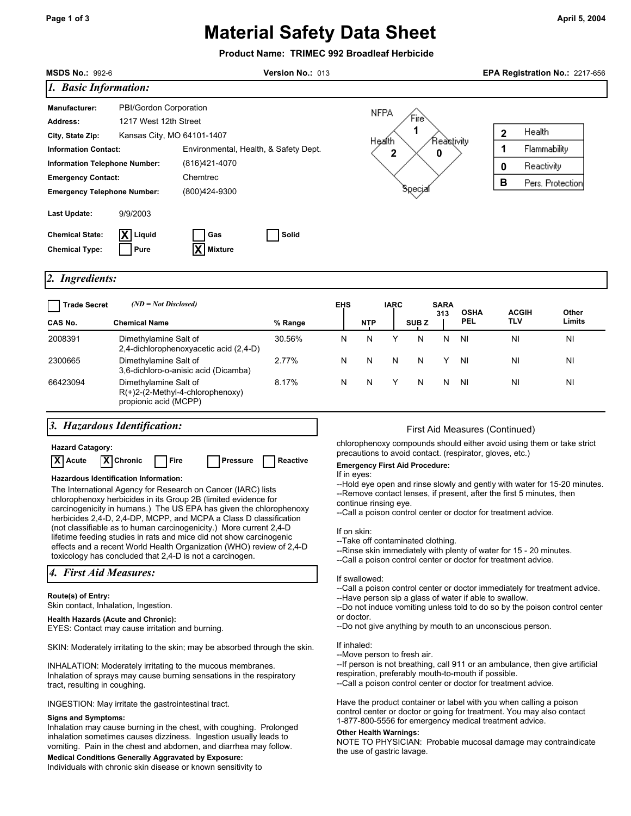# **Material Safety Data Sheet**

## **Product Name: TRIMEC 992 Broadleaf Herbicide**

| <b>MSDS No.: 992-6</b>                                                                                                                                                                                                                                                                                                                                                                                                                                                                                                                                                                                                                                                                                      | Version No.: 013                                  |                                                                                     |         |                                                                                                                                                                                                                                                                                                                                                                                                                                                                                                                                                                                                                                       |                                                                                                                                                                                                                                                                                                                                       |             |                  |                    |                    |                                                    | EPA Registration No.: 2217-656   |  |  |
|-------------------------------------------------------------------------------------------------------------------------------------------------------------------------------------------------------------------------------------------------------------------------------------------------------------------------------------------------------------------------------------------------------------------------------------------------------------------------------------------------------------------------------------------------------------------------------------------------------------------------------------------------------------------------------------------------------------|---------------------------------------------------|-------------------------------------------------------------------------------------|---------|---------------------------------------------------------------------------------------------------------------------------------------------------------------------------------------------------------------------------------------------------------------------------------------------------------------------------------------------------------------------------------------------------------------------------------------------------------------------------------------------------------------------------------------------------------------------------------------------------------------------------------------|---------------------------------------------------------------------------------------------------------------------------------------------------------------------------------------------------------------------------------------------------------------------------------------------------------------------------------------|-------------|------------------|--------------------|--------------------|----------------------------------------------------|----------------------------------|--|--|
| 1. Basic Information:                                                                                                                                                                                                                                                                                                                                                                                                                                                                                                                                                                                                                                                                                       |                                                   |                                                                                     |         |                                                                                                                                                                                                                                                                                                                                                                                                                                                                                                                                                                                                                                       |                                                                                                                                                                                                                                                                                                                                       |             |                  |                    |                    |                                                    |                                  |  |  |
| PBI/Gordon Corporation<br><b>Manufacturer:</b><br>1217 West 12th Street<br><b>Address:</b><br>Kansas City, MO 64101-1407<br>City, State Zip:<br><b>Information Contact:</b><br>Information Telephone Number:<br><b>Emergency Contact:</b><br><b>Emergency Telephone Number:</b>                                                                                                                                                                                                                                                                                                                                                                                                                             |                                                   | Environmental, Health, & Safety Dept.<br>(816)421-4070<br>Chemtrec<br>(800)424-9300 |         | NFPA<br>Fire<br>1<br>Reastivity<br>Health<br>2<br>0<br>Specjal                                                                                                                                                                                                                                                                                                                                                                                                                                                                                                                                                                        |                                                                                                                                                                                                                                                                                                                                       |             |                  |                    |                    | Health<br>$\mathbf 2$<br>1<br>Reactivity<br>0<br>B | Flammability<br>Pers. Protection |  |  |
| Last Update:<br><b>Chemical State:</b><br><b>Chemical Type:</b>                                                                                                                                                                                                                                                                                                                                                                                                                                                                                                                                                                                                                                             | 9/9/2003<br>Liquid<br>Pure                        | Gas<br><b>Mixture</b>                                                               | Solid   |                                                                                                                                                                                                                                                                                                                                                                                                                                                                                                                                                                                                                                       |                                                                                                                                                                                                                                                                                                                                       |             |                  |                    |                    |                                                    |                                  |  |  |
| 2. Ingredients:                                                                                                                                                                                                                                                                                                                                                                                                                                                                                                                                                                                                                                                                                             |                                                   |                                                                                     |         |                                                                                                                                                                                                                                                                                                                                                                                                                                                                                                                                                                                                                                       |                                                                                                                                                                                                                                                                                                                                       |             |                  |                    |                    |                                                    |                                  |  |  |
| <b>Trade Secret</b><br>CAS No.                                                                                                                                                                                                                                                                                                                                                                                                                                                                                                                                                                                                                                                                              | $(ND = Not \, Disclosed)$<br><b>Chemical Name</b> |                                                                                     | % Range | <b>EHS</b>                                                                                                                                                                                                                                                                                                                                                                                                                                                                                                                                                                                                                            | NTP                                                                                                                                                                                                                                                                                                                                   | <b>IARC</b> | SUB <sub>Z</sub> | <b>SARA</b><br>313 | <b>OSHA</b><br>PEL | <b>ACGIH</b><br>TLV                                | Other<br>Limits                  |  |  |
| 2008391                                                                                                                                                                                                                                                                                                                                                                                                                                                                                                                                                                                                                                                                                                     | Dimethylamine Salt of                             |                                                                                     | 30.56%  | N                                                                                                                                                                                                                                                                                                                                                                                                                                                                                                                                                                                                                                     | N                                                                                                                                                                                                                                                                                                                                     | Υ           | N                | N                  | ΝI                 | ΝI                                                 | ΝI                               |  |  |
| 2300665                                                                                                                                                                                                                                                                                                                                                                                                                                                                                                                                                                                                                                                                                                     | Dimethylamine Salt of                             | 2,4-dichlorophenoxyacetic acid (2,4-D)                                              | 2.77%   | N                                                                                                                                                                                                                                                                                                                                                                                                                                                                                                                                                                                                                                     | N                                                                                                                                                                                                                                                                                                                                     | N           | Ν                | Y                  | ΝI                 | ΝI                                                 | ΝI                               |  |  |
| 66423094                                                                                                                                                                                                                                                                                                                                                                                                                                                                                                                                                                                                                                                                                                    | Dimethylamine Salt of<br>propionic acid (MCPP)    | 3,6-dichloro-o-anisic acid (Dicamba)<br>$R(+)2-(2-Methyl-4-chlorophenoxy)$          | 8.17%   | N                                                                                                                                                                                                                                                                                                                                                                                                                                                                                                                                                                                                                                     | N                                                                                                                                                                                                                                                                                                                                     | Υ           | N                | N                  | <b>NI</b>          | ΝI                                                 | NI                               |  |  |
| 3. Hazardous Identification:                                                                                                                                                                                                                                                                                                                                                                                                                                                                                                                                                                                                                                                                                |                                                   |                                                                                     |         | First Aid Measures (Continued)                                                                                                                                                                                                                                                                                                                                                                                                                                                                                                                                                                                                        |                                                                                                                                                                                                                                                                                                                                       |             |                  |                    |                    |                                                    |                                  |  |  |
| <b>Hazard Catagory:</b><br><b>X</b> Chronic<br>X Acute<br>Fire<br><b>Pressure</b><br>Reactive<br><b>Hazardous Identification Information:</b><br>The International Agency for Research on Cancer (IARC) lists<br>chlorophenoxy herbicides in its Group 2B (limited evidence for<br>carcinogenicity in humans.) The US EPA has given the chlorophenoxy<br>herbicides 2,4-D, 2,4-DP, MCPP, and MCPA a Class D classification<br>(not classifiable as to human carcinogenicity.) More current 2,4-D<br>lifetime feeding studies in rats and mice did not show carcinogenic<br>effects and a recent World Health Organization (WHO) review of 2,4-D<br>toxicology has concluded that 2,4-D is not a carcinogen. |                                                   |                                                                                     |         | chlorophenoxy compounds should either avoid using them or take strict<br>precautions to avoid contact. (respirator, gloves, etc.)<br><b>Emergency First Aid Procedure:</b><br>If in eyes:<br>--Hold eye open and rinse slowly and gently with water for 15-20 minutes.<br>--Remove contact lenses, if present, after the first 5 minutes, then<br>continue rinsing eye.<br>--Call a poison control center or doctor for treatment advice.<br>If on skin:<br>--Take off contaminated clothing.<br>--Rinse skin immediately with plenty of water for 15 - 20 minutes.<br>--Call a poison control center or doctor for treatment advice. |                                                                                                                                                                                                                                                                                                                                       |             |                  |                    |                    |                                                    |                                  |  |  |
| 4. First Aid Measures:<br>Route(s) of Entry:<br>Skin contact, Inhalation, Ingestion.                                                                                                                                                                                                                                                                                                                                                                                                                                                                                                                                                                                                                        |                                                   |                                                                                     |         | If swallowed:<br>--Call a poison control center or doctor immediately for treatment advice.<br>--Have person sip a glass of water if able to swallow.<br>--Do not induce vomiting unless told to do so by the poison control center<br>or doctor.                                                                                                                                                                                                                                                                                                                                                                                     |                                                                                                                                                                                                                                                                                                                                       |             |                  |                    |                    |                                                    |                                  |  |  |
| <b>Health Hazards (Acute and Chronic):</b><br>EYES: Contact may cause irritation and burning.                                                                                                                                                                                                                                                                                                                                                                                                                                                                                                                                                                                                               |                                                   |                                                                                     |         | --Do not give anything by mouth to an unconscious person.                                                                                                                                                                                                                                                                                                                                                                                                                                                                                                                                                                             |                                                                                                                                                                                                                                                                                                                                       |             |                  |                    |                    |                                                    |                                  |  |  |
| SKIN: Moderately irritating to the skin; may be absorbed through the skin.<br>INHALATION: Moderately irritating to the mucous membranes.<br>Inhalation of sprays may cause burning sensations in the respiratory<br>tract, resulting in coughing.                                                                                                                                                                                                                                                                                                                                                                                                                                                           |                                                   |                                                                                     |         | If inhaled:<br>--Move person to fresh air.<br>--If person is not breathing, call 911 or an ambulance, then give artificial<br>respiration, preferably mouth-to-mouth if possible.<br>--Call a poison control center or doctor for treatment advice.                                                                                                                                                                                                                                                                                                                                                                                   |                                                                                                                                                                                                                                                                                                                                       |             |                  |                    |                    |                                                    |                                  |  |  |
| INGESTION: May irritate the gastrointestinal tract.<br><b>Signs and Symptoms:</b><br>Inhalation may cause burning in the chest, with coughing. Prolonged<br>inhalation sometimes causes dizziness. Ingestion usually leads to<br>vomiting. Pain in the chest and abdomen, and diarrhea may follow.<br><b>Medical Conditions Generally Aggravated by Exposure:</b>                                                                                                                                                                                                                                                                                                                                           |                                                   |                                                                                     |         |                                                                                                                                                                                                                                                                                                                                                                                                                                                                                                                                                                                                                                       | Have the product container or label with you when calling a poison<br>control center or doctor or going for treatment. You may also contact<br>1-877-800-5556 for emergency medical treatment advice.<br><b>Other Health Warnings:</b><br>NOTE TO PHYSICIAN: Probable mucosal damage may contraindicate<br>the use of gastric lavage. |             |                  |                    |                    |                                                    |                                  |  |  |

Individuals with chronic skin disease or known sensitivity to

**April 5, 2004**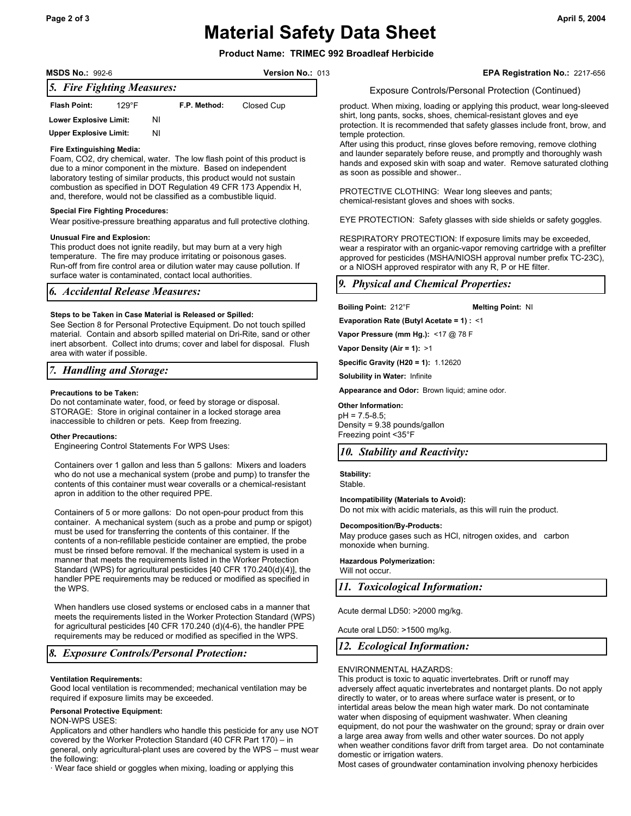## **Page 2 of 3 April 5, 2004 Material Safety Data Sheet**

**Version No.: 013** 

*5. Fire Fighting Measures:*  **Flash Point:** 129°F **F.P. Method:** Closed Cup **Lower Explosive Limit:** NI

#### **Fire Extinguishing Media:**

**Upper Explosive Limit:** NI

Foam, CO2, dry chemical, water. The low flash point of this product is due to a minor component in the mixture. Based on independent laboratory testing of similar products, this product would not sustain combustion as specified in DOT Regulation 49 CFR 173 Appendix H, and, therefore, would not be classified as a combustible liquid.

#### **Special Fire Fighting Procedures:**

Wear positive-pressure breathing apparatus and full protective clothing.

#### **Unusual Fire and Explosion:**

This product does not ignite readily, but may burn at a very high temperature. The fire may produce irritating or poisonous gases. Run-off from fire control area or dilution water may cause pollution. If surface water is contaminated, contact local authorities.

## *6. Accidental Release Measures:*

#### **Steps to be Taken in Case Material is Released or Spilled:**

See Section 8 for Personal Protective Equipment. Do not touch spilled material. Contain and absorb spilled material on Dri-Rite, sand or other inert absorbent. Collect into drums; cover and label for disposal. Flush area with water if possible.

## *7. Handling and Storage:*

#### **Precautions to be Taken:**

Do not contaminate water, food, or feed by storage or disposal. STORAGE: Store in original container in a locked storage area inaccessible to children or pets. Keep from freezing.

#### **Other Precautions:**

Engineering Control Statements For WPS Uses:

Containers over 1 gallon and less than 5 gallons: Mixers and loaders who do not use a mechanical system (probe and pump) to transfer the contents of this container must wear coveralls or a chemical-resistant apron in addition to the other required PPE.

Containers of 5 or more gallons: Do not open-pour product from this container. A mechanical system (such as a probe and pump or spigot) must be used for transferring the contents of this container. If the contents of a non-refillable pesticide container are emptied, the probe must be rinsed before removal. If the mechanical system is used in a manner that meets the requirements listed in the Worker Protection Standard (WPS) for agricultural pesticides [40 CFR 170.240(d)(4)], the handler PPE requirements may be reduced or modified as specified in the WPS.

When handlers use closed systems or enclosed cabs in a manner that meets the requirements listed in the Worker Protection Standard (WPS) for agricultural pesticides [40 CFR 170.240 (d)(4-6), the handler PPE requirements may be reduced or modified as specified in the WPS.

## *8. Exposure Controls/Personal Protection:*

#### **Ventilation Requirements:**

Good local ventilation is recommended; mechanical ventilation may be required if exposure limits may be exceeded.

### **Personal Protective Equipment:**

NON-WPS USES:

Applicators and other handlers who handle this pesticide for any use NOT covered by the Worker Protection Standard (40 CFR Part 170) – in general, only agricultural-plant uses are covered by the WPS – must wear the following:

· Wear face shield or goggles when mixing, loading or applying this

**EPA Registration No.:** 2217-656

#### Exposure Controls/Personal Protection (Continued)

product. When mixing, loading or applying this product, wear long-sleeved shirt, long pants, socks, shoes, chemical-resistant gloves and eye protection. It is recommended that safety glasses include front, brow, and temple protection.

After using this product, rinse gloves before removing, remove clothing and launder separately before reuse, and promptly and thoroughly wash hands and exposed skin with soap and water. Remove saturated clothing as soon as possible and shower..

PROTECTIVE CLOTHING: Wear long sleeves and pants; chemical-resistant gloves and shoes with socks.

EYE PROTECTION: Safety glasses with side shields or safety goggles.

RESPIRATORY PROTECTION: If exposure limits may be exceeded, wear a respirator with an organic-vapor removing cartridge with a prefilter approved for pesticides (MSHA/NIOSH approval number prefix TC-23C), or a NIOSH approved respirator with any R, P or HE filter.

## *9. Physical and Chemical Properties:*

**Boiling Point:** 212°F **Melting Point:** NI

**Evaporation Rate (Butyl Acetate = 1) :** <1

**Vapor Pressure (mm Hg.):** <17 @ 78 F

**Vapor Density (Air = 1):** >1

**Specific Gravity (H20 = 1):** 1.12620

**Solubility in Water:** Infinite

**Appearance and Odor:** Brown liquid; amine odor.

## **Other Information:**

pH = 7.5-8.5; Density = 9.38 pounds/gallon Freezing point <35°F

## *10. Stability and Reactivity:*

**Stability:**  Stable.

**Incompatibility (Materials to Avoid):** 

Do not mix with acidic materials, as this will ruin the product.

#### **Decomposition/By-Products:**

May produce gases such as HCl, nitrogen oxides, and carbon monoxide when burning.

**Hazardous Polymerization:**  Will not occur.

*11. Toxicological Information:* 

Acute dermal LD50: >2000 mg/kg.

Acute oral LD50: >1500 mg/kg.

## *12. Ecological Information:*

#### ENVIRONMENTAL HAZARDS:

This product is toxic to aquatic invertebrates. Drift or runoff may adversely affect aquatic invertebrates and nontarget plants. Do not apply directly to water, or to areas where surface water is present, or to intertidal areas below the mean high water mark. Do not contaminate water when disposing of equipment washwater. When cleaning equipment, do not pour the washwater on the ground; spray or drain over a large area away from wells and other water sources. Do not apply when weather conditions favor drift from target area. Do not contaminate domestic or irrigation waters.

Most cases of groundwater contamination involving phenoxy herbicides